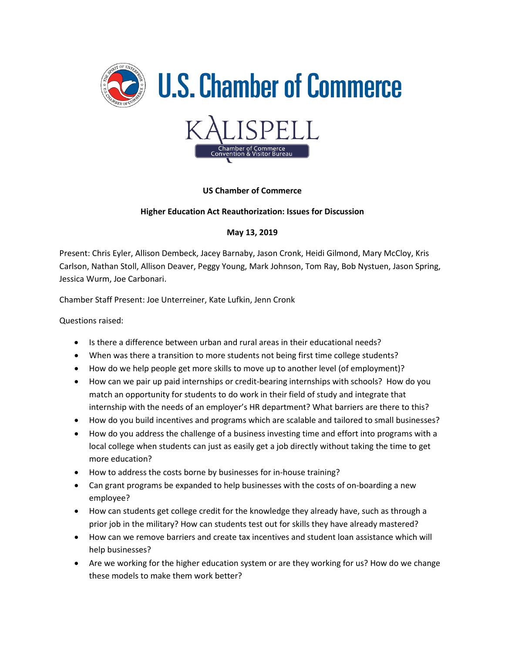

## **US Chamber of Commerce**

## **Higher Education Act Reauthorization: Issues for Discussion**

## **May 13, 2019**

Present: Chris Eyler, Allison Dembeck, Jacey Barnaby, Jason Cronk, Heidi Gilmond, Mary McCloy, Kris Carlson, Nathan Stoll, Allison Deaver, Peggy Young, Mark Johnson, Tom Ray, Bob Nystuen, Jason Spring, Jessica Wurm, Joe Carbonari.

Chamber Staff Present: Joe Unterreiner, Kate Lufkin, Jenn Cronk

Questions raised:

- Is there a difference between urban and rural areas in their educational needs?
- When was there a transition to more students not being first time college students?
- How do we help people get more skills to move up to another level (of employment)?
- How can we pair up paid internships or credit-bearing internships with schools? How do you match an opportunity for students to do work in their field of study and integrate that internship with the needs of an employer's HR department? What barriers are there to this?
- How do you build incentives and programs which are scalable and tailored to small businesses?
- How do you address the challenge of a business investing time and effort into programs with a local college when students can just as easily get a job directly without taking the time to get more education?
- How to address the costs borne by businesses for in-house training?
- Can grant programs be expanded to help businesses with the costs of on-boarding a new employee?
- How can students get college credit for the knowledge they already have, such as through a prior job in the military? How can students test out for skills they have already mastered?
- How can we remove barriers and create tax incentives and student loan assistance which will help businesses?
- Are we working for the higher education system or are they working for us? How do we change these models to make them work better?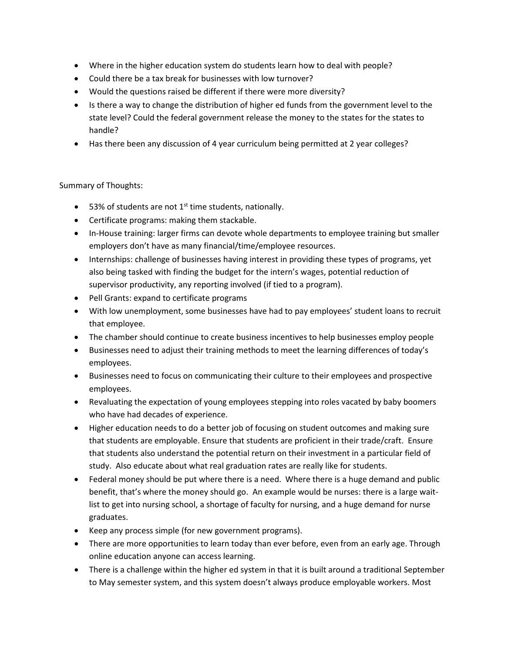- Where in the higher education system do students learn how to deal with people?
- Could there be a tax break for businesses with low turnover?
- Would the questions raised be different if there were more diversity?
- Is there a way to change the distribution of higher ed funds from the government level to the state level? Could the federal government release the money to the states for the states to handle?
- Has there been any discussion of 4 year curriculum being permitted at 2 year colleges?

## Summary of Thoughts:

- 53% of students are not  $1<sup>st</sup>$  time students, nationally.
- Certificate programs: making them stackable.
- In-House training: larger firms can devote whole departments to employee training but smaller employers don't have as many financial/time/employee resources.
- Internships: challenge of businesses having interest in providing these types of programs, yet also being tasked with finding the budget for the intern's wages, potential reduction of supervisor productivity, any reporting involved (if tied to a program).
- Pell Grants: expand to certificate programs
- With low unemployment, some businesses have had to pay employees' student loans to recruit that employee.
- The chamber should continue to create business incentives to help businesses employ people
- Businesses need to adjust their training methods to meet the learning differences of today's employees.
- Businesses need to focus on communicating their culture to their employees and prospective employees.
- Revaluating the expectation of young employees stepping into roles vacated by baby boomers who have had decades of experience.
- Higher education needs to do a better job of focusing on student outcomes and making sure that students are employable. Ensure that students are proficient in their trade/craft. Ensure that students also understand the potential return on their investment in a particular field of study. Also educate about what real graduation rates are really like for students.
- Federal money should be put where there is a need. Where there is a huge demand and public benefit, that's where the money should go. An example would be nurses: there is a large waitlist to get into nursing school, a shortage of faculty for nursing, and a huge demand for nurse graduates.
- Keep any process simple (for new government programs).
- There are more opportunities to learn today than ever before, even from an early age. Through online education anyone can access learning.
- There is a challenge within the higher ed system in that it is built around a traditional September to May semester system, and this system doesn't always produce employable workers. Most